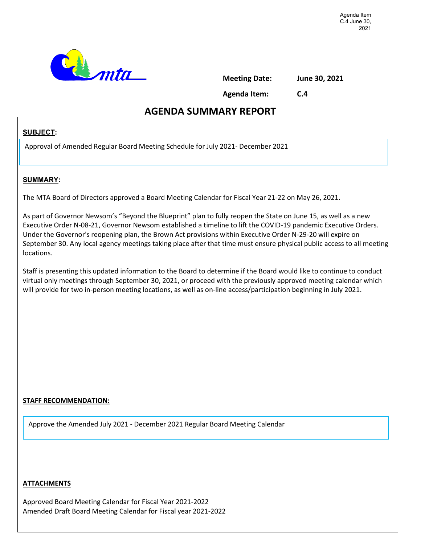

**Meeting Date: June 30, 2021**

**Agenda Item: C.4**

## **AGENDA SUMMARY REPORT**

### **SUBJECT:**

Approval of Amended Regular Board Meeting Schedule for July 2021- December 2021

#### **SUMMARY:**

The MTA Board of Directors approved a Board Meeting Calendar for Fiscal Year 21-22 on May 26, 2021.

As part of Governor Newsom's "Beyond the Blueprint" plan to fully reopen the State on June 15, as well as a new Executive Order N-08-21, Governor Newsom established a timeline to lift the COVID-19 pandemic Executive Orders. Under the Governor's reopening plan, the Brown Act provisions within Executive Order N-29-20 will expire on September 30. Any local agency meetings taking place after that time must ensure physical public access to all meeting locations.

Staff is presenting this updated information to the Board to determine if the Board would like to continue to conduct virtual only meetings through September 30, 2021, or proceed with the previously approved meeting calendar which will provide for two in-person meeting locations, as well as on-line access/participation beginning in July 2021.

#### **STAFF RECOMMENDATION:**

Approve the Amended July 2021 - December 2021 Regular Board Meeting Calendar

#### **ATTACHMENTS**

Approved Board Meeting Calendar for Fiscal Year 2021-2022 Amended Draft Board Meeting Calendar for Fiscal year 2021-2022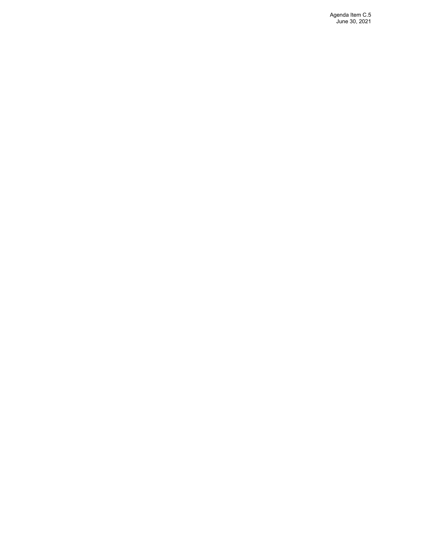Agenda Item C.5 June 30, 2021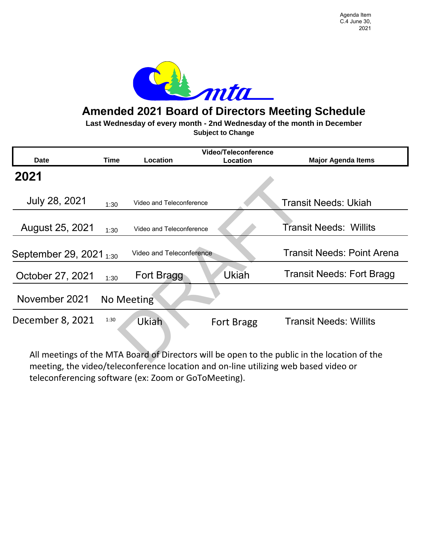

# **Amended 2021 Board of Directors Meeting Schedule**

| Agenda Item<br>C.4 June 30,<br>2021<br>mta<br><b>Amended 2021 Board of Directors Meeting Schedule</b><br>Last Wednesday of every month - 2nd Wednesday of the month in December<br><b>Subject to Change</b> |             |                          |                                  |                                   |  |  |  |
|-------------------------------------------------------------------------------------------------------------------------------------------------------------------------------------------------------------|-------------|--------------------------|----------------------------------|-----------------------------------|--|--|--|
| Date                                                                                                                                                                                                        | <b>Time</b> | Location                 | Video/Teleconference<br>Location | <b>Major Agenda Items</b>         |  |  |  |
| 2021                                                                                                                                                                                                        |             |                          |                                  |                                   |  |  |  |
| July 28, 2021                                                                                                                                                                                               | 1:30        | Video and Teleconference |                                  | <b>Transit Needs: Ukiah</b>       |  |  |  |
| August 25, 2021                                                                                                                                                                                             | 1:30        | Video and Teleconference |                                  | <b>Transit Needs: Willits</b>     |  |  |  |
| September 29, 2021 $_{1:30}$                                                                                                                                                                                |             | Video and Teleconference |                                  | <b>Transit Needs: Point Arena</b> |  |  |  |
| October 27, 2021                                                                                                                                                                                            | 1:30        | Fort Bragg               | <b>Ukiah</b>                     | <b>Transit Needs: Fort Bragg</b>  |  |  |  |
| November 2021<br><b>No Meeting</b>                                                                                                                                                                          |             |                          |                                  |                                   |  |  |  |
| December 8, 2021                                                                                                                                                                                            | 1:30        | <b>Ukiah</b>             | Fort Bragg                       | <b>Transit Needs: Willits</b>     |  |  |  |
| All meetings of the MTA Board of Directors will be open to the public in the location of the                                                                                                                |             |                          |                                  |                                   |  |  |  |

All meetings of the MTA Board of Directors will be open to the public in the location of the meeting, the video/teleconference location and on-line utilizing web based video or teleconferencing software (ex: Zoom or GoToMeeting).